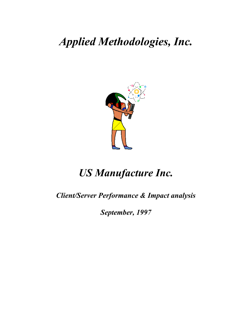*Applied Methodologies, Inc.*



# *US Manufacture Inc.*

*Client/Server Performance & Impact analysis*

*September, 1997*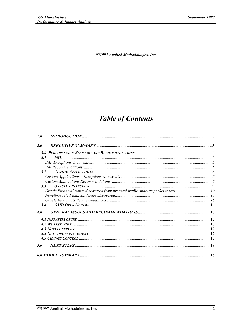©1997 Applied Methodologies, Inc

## **Table of Contents**

| 1.0     |                                                                                   |  |
|---------|-----------------------------------------------------------------------------------|--|
| 2.0     |                                                                                   |  |
|         |                                                                                   |  |
| 3. I    | <i>IMI</i>                                                                        |  |
|         |                                                                                   |  |
|         |                                                                                   |  |
| 3.2     |                                                                                   |  |
|         |                                                                                   |  |
|         |                                                                                   |  |
| $3.3 -$ |                                                                                   |  |
|         | Oracle Financial issues discovered from protocol/traffic analysis packet traces10 |  |
|         |                                                                                   |  |
|         |                                                                                   |  |
| 3.4     |                                                                                   |  |
| 4.0     |                                                                                   |  |
|         |                                                                                   |  |
|         |                                                                                   |  |
|         |                                                                                   |  |
|         |                                                                                   |  |
|         |                                                                                   |  |
| 5.0     |                                                                                   |  |
|         |                                                                                   |  |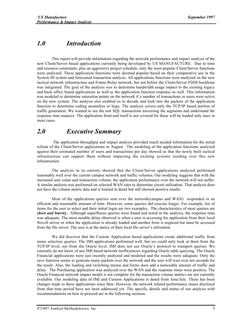## *1.0 Introduction*

This report will provide information regarding the network performance and impact analysis of the new Client/Server based applications currently being developed by US MANUFACTURE. Due to time and resource constraints, plus an aggressive project schedule, only the most popular Client/Server functions were analyzed. These application functions were deemed popular based on their comparative use in the System 80 system and forecasted transaction analysis. All applications functions were analyzed on the new tactical network infrastructure and Frame-Relay network, but not before the Client/Server FDDI backbone was integrated. The goal of the analysis was to determine bandwidth usage impact to the existing legacy and back office based applications as well as the application function response as well. This information was modeled to determine saturation points on the network if x number of transactions or users were active on the new system. The analysis also enabled us to decode and look into the packets of the application function to determine coding anomalies or bugs. The analysis covers only the TCP/IP based portion of traffic generation. We wanted to see the raw SQL transactions traversing the segments and understand the response time nuances. The application front-end itself is not covered for these will be loaded only once in most cases.

## *2.0 Executive Summary*

The application throughput and impact analysis provided much needed information for the initial rollout of the Client/Server applications in August. The modeling of the application functions analyzed against their estimated number of users and transactions per day showed us that the newly built tactical infrastructure can support them without impacting the existing systems residing over this new infrastructure.

The analysis in its entirety showed that the Client/Server applications analyzed performed reasonably well over the current campus network and traffic volumes. Our modeling suggests that with the increased user count and transaction volume, the application performance over the network will not suffer. A similar analysis was performed on selected WAN sites to determine circuit utilization. That analysis does not have the volume metric data and is limited in detail but still showed positive results.

Most of the applications queries sent over the network(campus and WAN) responded in an efficient and reasonable amount of time. However, some queries did execute longer. For example, list of items for the user to select and their initial login are two examples. The characteristics of most queries are *short and* bursty. Although superfluous queries were found and noted in the analysis, the response time was adequate. The most notable delay observed is when a user is accessing his application from their local Novell server or when the application is already loaded and another form is required but must be accessed from the file server. The user is at the mercy of their local file server's utilization.

We did discover that the Custom Application based applications create additional traffic from menu selection queries. The IMI applications performed well, but we could only look at them from the TCP/IP level, not from the Oracle level. IMI does not use Oracle's protocol to transport queries. We currently do not know of any IMI based network inefficiencies regarding Oracle table querying. The Oracle Financial applications were just recently analyzed and modeled and the results were adequate. Only the save function seems to generate many packets over the network and the user will wait over ten seconds for the result. Also, the loading and switching menus and forms does add a noticeable amount of traffic and delay. The Purchasing application was analyzed over the WAN and the response times were positive. The Oracle Financial network impact model is not complete for the transaction volume metrics are not currently available. Our modeling data of IMI and Custom Applications is dated from June/July. There has been changes made to these applications since then. However, the network related performance issues disclosed from that time period have not been addressed yet. The specific details and status of our analysis with recommendations on how to proceed are in the following sections.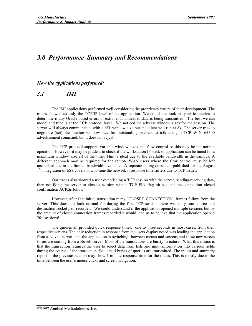## *3.0 Performance Summary and Recommendations*

*How the applications performed:*

#### *3.1 IMI*

The IMI applications performed well considering the proprietary nature of their development. The traces showed us only the TCP/IP level of the application. We could not look at specific queries to determine if any Oracle based errors or extraneous unneeded data is being transmitted. The best we can model and tune is at the TCP protocol layer. We noticed the adverse window sizes for the session. The server will always communicate with a 65k window size but the client will run at 8k. The server tries to negotiate (set) the session window size for outstanding packets to 65k using a TCP WIN=65500 advertisement command, but it does not adjust.

The TCP protocol supports variable window sizes and flow control so this may be the normal operation. However, it may be prudent to check if the workstation IP stack or application can be tuned for a maximum window size all of the time. This is ideal due to the available bandwidth in the campus. A different approach may be required for the remote WAN users where the flow control must be left untouched due to the limited bandwidth available. A separate tuning document published for the August 1<sup>St</sup>. integration of ESS covers how to tune the network if response time suffers due to TCP issues.

Our traces also showed a user establishing a TCP session with the server, sending/receiving data, then notifying the server to close a session with a TCP FIN flag bit set and the connection closed confirmation ACKSs follow.

However, after that initial transaction many "CLOSED CONNECTION" frames follow from the server. This does not look normal for during the first TCP session there was only one source and destination socket pair recorded. We could understand if the application opened multiple sessions but by the amount of closed connection frames recorded it would lead us to believe that the application opened 20+ sessions!

The queries all provided quick response times, one to three seconds in most cases, from their respective screens. The only reduction in response from the users display noted was loading the application from a Novell server or if the application is switching between menus and screens and these new screen forms are coming from a Novell server. Most of the transactions are bursty in nature. What this means is that the transaction requires the user to select data from lists and input information into various fields during the course of the transaction. So, small bursts of queries are transmitted. The traces and summary report in the previous section may show 1 minute response time for the traces. This is mostly due to the time between the user's mouse clicks and screen navigation.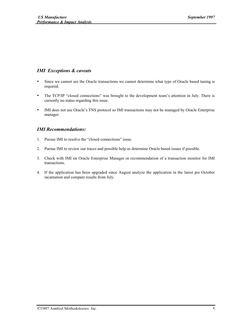#### *IMI Exceptions & caveats*

- Since we cannot see the Oracle transactions we cannot determine what type of Oracle based tuning is required.
- The TCP/IP "closed connections" was brought to the development team's attention in July. There is currently no status regarding this issue.
- IMI does not use Oracle's TNS protocol so IMI transactions may not be managed by Oracle Enterprise manager.

#### *IMI Recommendations:*

- 1. Pursue IMI to resolve the "closed connections" issue.
- 2. Pursue IMI to review our traces and possible help us determine Oracle based issues if possible.
- 3. Check with IMI on Oracle Enterprise Manager or recommendation of a transaction monitor for IMI transactions.
- 4. If the application has been upgraded since August analyze the application in the latest pre October incarnation and compare results from July.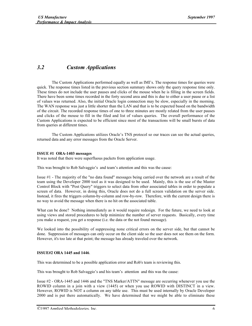## *3.2 Custom Applications*

The Custom Applications performed equally as well as IMI's. The response times for queries were quick. The response times listed in the previous section summary shows only the query response time only. These times do not include the user pauses and clicks of the mouse when he is filling in the screen fields. There have been some times recorded in the forty second area and this is due to either a user pause or a list of values was returned. Also, the initial Oracle login connection may be slow, especially in the morning. The WAN response was just a little shorter than the LAN and that is to be expected based on the bandwidth of the circuit. The recorded response times of one to three minutes are mostly related from the user pauses and clicks of the mouse to fill in the filed and list of values queries. The overall performance of the Custom Applications is expected to be efficient since most of the transactions will be small bursts of data from queries at different times.

The Custom Applications utilizes Oracle's TNS protocol so our traces can see the actual queries, returned data and any error messages from the Oracle Server.

#### ISSUE #1 ORA-1403 messages

It was noted that there were superfluous packets from application usage.

This was brought to Rob Salvaggio's and team's attention and this was the cause:

Issue #1 - The majority of the "no data found" messages being carried over the network are a result of the team using the Developer 2000 tool as it was designed to be used. Mainly, this is the use of the Master Control Block with "Post Query" triggers to select data from other associated tables in order to populate a screen of data. However, in doing this, Oracle does not do a full screen validation on the server side. Instead, it fires the triggers column-by-column and row-by-row. Therefore, with the current design there is no way to avoid the message when there is no hit on the associated table.

What can be done? Nothing immediately as it would require redesign. For the future, we need to look at using views and stored procedures to help minimize the number of server requests. Basically, every time you make a request, you get a response (i.e. the data or the not found message).

We looked into the possibility of suppressing none critical errors on the server side, but that cannot be done. Suppression of messages can only occur on the client side so the user does not see them on the form. However, it's too late at that point; the message has already traveled over the network.

#### ISSUE#2 ORA 1445 and 1446.

This was determined to be a possible application error and Rob's team is reviewing this.

This was brought to Rob Salvaggio's and his team's attention and this was the cause:

Issue #2 - ORA-1445 and 1446 and the "TNS Marker/ATTN" message are occurring whenever you use the ROWID column in a join with a view (1445) or when you use ROWID with DISTINCT in a view. However, ROWID is NOT a column on any table use. This must be used internally by Oracle Developer 2000 and is put there automatically. We have determined that we might be able to eliminate these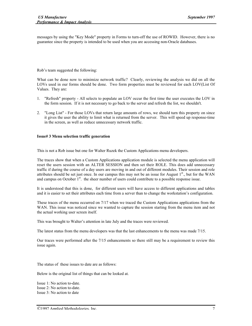messages by using the "Key Mode" property in Forms to turn-off the use of ROWID. However, there is no guarantee since the property is intended to be used when you are accessing non-Oracle databases.

Rob's team suggested the following:

What can be done now to minimize network traffic? Clearly, reviewing the analysis we did on all the LOVs used in our forms should be done. Two form properties must be reviewed for each LOV(List Of Values. They are:

- 1. "Refresh" property All selects to populate an LOV occur the first time the user executes the LOV in the form session. If it is not necessary to go back to the server and refresh the list, we shouldn't.
- 2. "Long List" For those LOVs that return large amounts of rows, we should turn this property on since it gives the user the ability to limit what is returned from the server. This will speed up response-time in the screen, as well as reduce unnecessary network traffic.

#### Issue# 3 Menu selection traffic generation

This is not a Rob issue but one for Walter Ruzek the Custom Applications menu developers.

The traces show that when a Custom Applications application module is selected the menu application will reset the users session with an ALTER SESSION and then set their ROLE. This does add unnecessary traffic if during the course of a day users are moving in and out of different modules. Their session and role attributes should be set just once. In our campus this may not be an issue for August  $1<sup>st</sup>$ , but for the WAN and campus on October  $1<sup>st</sup>$ . the sheer number of users could contribute to a possible response issue.

It is understood that this is done, for different users will have access to different applications and tables and it is easier to set their attributes each time from a server than to change the workstation's configuration.

These traces of the menu occurred on 7/17 when we traced the Custom Applications applications from the WAN. This issue was noticed since we wanted to capture the session starting from the menu item and not the actual working user screen itself.

This was brought to Walter's attention in late July and the traces were reviewed.

The latest status from the menu developers was that the last enhancements to the menu was made 7/15.

Our traces were performed after the 7/15 enhancements so there still may be a requirement to review this issue again.

The status of these issues to date are as follows:

Below is the original list of things that can be looked at.

Issue 1: No action to-date. Issue 2: No action to-date. Issue 3: No action to date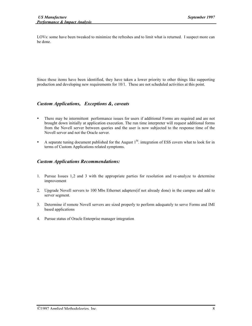LOVs: some have been tweaked to minimize the refreshes and to limit what is returned. I suspect more can be done.

Since these items have been identified, they have taken a lower priority to other things like supporting production and developing new requirements for 10/1. These are not scheduled activities at this point.

#### *Custom Applications, Exceptions &, caveats*

- There may be intermittent performance issues for users if additional Forms are required and are not brought down initially at application execution. The run time interpreter will request additional forms from the Novell server between queries and the user is now subjected to the response time of the Novell server and not the Oracle server.
- A separate tuning document published for the August  $1<sup>St</sup>$ . integration of ESS covers what to look for in terms of Custom Applications related symptoms.

#### *Custom Applications Recommendations:*

- 1. Pursue Issues 1,2 and 3 with the appropriate parties for resolution and re-analyze to determine improvement
- 2. Upgrade Novell servers to 100 Mbs Ethernet adapters(if not already done) in the campus and add to server segment.
- 3. Determine if remote Novell servers are sized properly to perform adequately to serve Forms and IMI based applications
- 4. Pursue status of Oracle Enterprise manager integration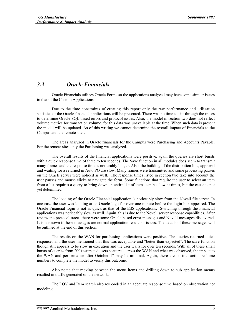#### *3.3 Oracle Financials*

Oracle Financials utilizes Oracle Forms so the applications analyzed may have some similar issues to that of the Custom Applications.

Due to the time constraints of creating this report only the raw performance and utilization statistics of the Oracle financial applications will be presented. There was no time to sift through the traces to determine Oracle SQL based errors and protocol issues. Also, the model in section two does not reflect volume metrics for transaction volume, for this data was unavailable at the time. When such data is present the model will be updated. As of this writing we cannot determine the overall impact of Financials to the Campus and the remote sites.

The areas analyzed in Oracle financials for the Campus were Purchasing and Accounts Payable. For the remote sites only the Purchasing was analyzed.

The overall results of the financial applications were positive, again the queries are short bursts with a quick response time of three to ten seconds. The Save function in all modules does seem to transmit many frames and the response time is noticeably longer. Also, the building of the distribution line, approval and waiting for a returned in Auto PO are slow. Many frames were transmitted and some processing pauses on the Oracle server were noticed as well. The response times listed in section two take into account the user pauses and mouse clicks to navigate the form. Some functions that require the user to select an item from a list requires a query to bring down an entire list of items can be slow at times, but the cause is not yet determined.

The loading of the Oracle Financial application is noticeably slow from the Novell file server. In one case the user was looking at an Oracle logo for over one minute before the login box appeared. The Oracle Financial login is not as quick as that of the ESS applications. Switching through the Financial applications was noticeably slow as well. Again, this is due to the Novell server response capabilities. After review the protocol traces there were some Oracle based error messages and Novell messages discovered. It is unknown if these messages are normal application results or issues. The details of these messages will be outlined at the end of this section.

The results on the WAN for purchasing applications were positive. The queries returned quick responses and the user mentioned that this was acceptable and "better than expected". The save function though still appears to be slow in execution and the user waits for over ten seconds. With all of these small bursts of queries from 200+estimated users scattered across the WAN and what was observed, the impact to the WAN and performance after October 1<sup>st</sup> may be minimal. Again, there are no transaction volume numbers to complete the model to verify this outcome.

Also noted that moving between the menu items and drilling down to sub application menus resulted in traffic generated on the network.

The LOV and Item search also responded in an adequate response time based on observation not modeling.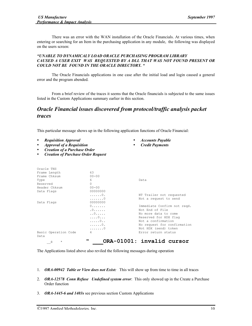There was an error with the WAN installation of the Oracle Financials. At various times, when entering or searching for an Item in the purchasing application in any module, the following was displayed on the users screen:

#### *"UNABLE TO DYNAMICALY LOAD ORACLE PURCHASING PROGRAM LIBRARY CAUSED A USER EXIT WAS REQUESTED BY A DLL THAT WAS NOT FOUND PRESENT OR COULD NOT BE FOUND IN THE ORACLE DIRECTORY. "*

The Oracle Financials applications in one case after the initial load and login caused a general error and the program abended.

From a brief review of the traces it seems that the Oracle financials is subjected to the same issues listed in the Custom Applications summary earlier in this section.

> • *Accounts Payable* • *Credit Payments*

## *Oracle Financial issues discovered from protocol/traffic analysis packet traces*

This particular message shows up in the following application functions of Oracle Financial:

- *Requisition Approval*
- *Approval of a Requisition*
- *Creation of a Purchase Order*
- *Creation of Purchase Order Request*

| Oracle TNS                   |           |                             |
|------------------------------|-----------|-----------------------------|
| Frame Length                 | 63        |                             |
| Frame Chksum                 | $00 - 00$ |                             |
| Type                         | 6         | Data                        |
| Reserved                     | $\Omega$  |                             |
| Header Chksum                | $00 - 00$ |                             |
| Data Flags                   | 00000000  |                             |
|                              | . 0 .     | NT Trailer not requested    |
|                              | . 0       | Not a request to send       |
| Data Flags                   | 00000000  |                             |
|                              |           | Immediate Confirm not regd. |
|                              |           | Not End of File             |
|                              | . . 0     | No more data to come        |
|                              | . 0       | Reserved for HDX flaq       |
|                              | . 0       | Not a confirmation          |
|                              | . 0 .     | No request for confirmation |
|                              | . 0       | Not HDX (send) token        |
| Basic Operation Code<br>Data | 4         | Error return status         |
| é<br>$\star$                 | π         | ORA-01001: invalid cursor   |

The Applications listed above also reviled the following messages during operation

- 1. *ORA-00942 Table or View does not Exist:* This will show up from time to time in all traces
- 2. *ORA-12578 Conn Refuse Undefined system error*: This only showed up in the Create a Purchase Order function
- 3. *ORA-1445-6 and 1403s* see previous section Custom Applications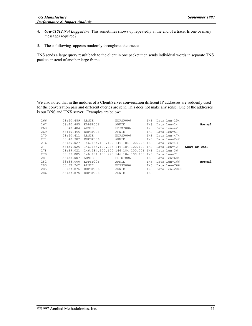- 4. *Ora-01012 Not Logged in:* This sometimes shows up repeatedly at the end of a trace. Is one or many messages required?
- 5. These following appears randomly throughout the traces:

TNS sends a large query result back to the client in one packet then sends individual words in separate TNS packets instead of another large frame.

We also noted that in the middles of a Client/Server conversation different IP addresses are suddenly used for the conversation pair and different queries are sent. This does not make any sense. One of the addresses is our DNS and UNX server. Examples are below:

| 266 | 58:40.489 | ARNIE        | EDPSP006                        | TNS | Data Len=154  |              |        |
|-----|-----------|--------------|---------------------------------|-----|---------------|--------------|--------|
| 267 | 58:40.485 | EDPSP006     | <b>ARNTE</b>                    | TNS | Data Len=24   |              | Normal |
| 268 | 58:40.484 | ARNIE        | EDPSP006                        | TNS | Data Len=42   |              |        |
| 269 | 58:40.466 | EDPSP006     | <b>ARNTE</b>                    | TNS | Data Len=51   |              |        |
| 270 | 58:40.411 | ARNIE        | EDPSP006                        | TNS | Data Len=474  |              |        |
| 271 | 58:40.387 | EDPSP006     | ARNIE                           | TNS | Data Len=242  |              |        |
| 276 | 58:39.027 |              | 146.184.100.100 146.184.100.226 | TNS | Data Len=43   |              |        |
| 277 | 58:39.026 |              | 146.184.100.226.146.184.100.100 | TNS | Data Len=42   | What or Who? |        |
| 278 | 58:39.021 |              | 146.184.100.100 146.184.100.226 | TNS | Data Len=36   |              |        |
| 279 | 58:39.005 |              | 146.184.100.226.146.184.100.100 | TNS | Data Len=71   |              |        |
| 281 | 58:38.007 | <b>ARNTE</b> | EDPSP006                        | TNS | Data Len=684  |              |        |
| 282 | 58:38.000 | EDPSP006     | ARNIE                           | TNS | Data Len=166  |              | Normal |
| 283 | 58:37.962 | <b>ARNTE</b> | EDPSP006                        | TNS | Data Len=766  |              |        |
| 285 | 58:37.876 | EDPSP006     | ARNIE                           | TNS | Data Len=2048 |              |        |
| 286 | 58:37.875 | EDPSP006     | ARNIE                           | TNS |               |              |        |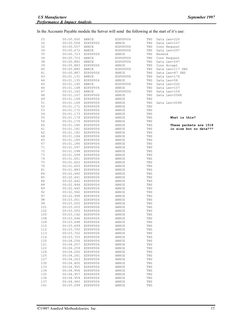#### In the Accounts Payable module the Server will send the following at the start of it's use:

| 25  | 00:00.000 | ARNIE    | EDPSP006 | TNS | Data Len=220           |
|-----|-----------|----------|----------|-----|------------------------|
| 26  | 00:00.004 | EDPSP006 | ARNIE    | TNS | Data Len=107           |
|     |           |          |          |     |                        |
| 32  | 00:00.557 | ARNIE    | EDPSP006 | TNS | Conn Request           |
| 34  | 00:00.672 | ARNIE    | EDPSP006 | TNS | Data Len=297           |
|     |           |          |          |     |                        |
| 35  | 00:00.723 | EDPSP006 | ARNIE    | TNS | Resend                 |
|     |           |          |          |     |                        |
| 36  | 00:00.723 | ARNIE    | EDPSP006 | TNS | Conn Request           |
| 38  | 00:00.882 | ARNIE    | EDPSP006 | TNS | Data Len=297           |
|     |           |          |          |     |                        |
| 39  | 00:00.883 | EDPSP006 | ARNIE    | TNS | Conn Accept            |
|     |           |          |          |     |                        |
| 40  | 00:00.885 | ARNIE    | EDPSP006 | TNS | Data Len=117 SNS       |
| 41  | 00:00.887 | EDPSP006 | ARNIE    | TNS | Data Len=87 SNS        |
|     |           |          |          |     |                        |
| 43  | 00:01.131 | ARNIE    | EDPSP006 | TNS | Data Len=176           |
|     |           |          |          |     |                        |
| 44  | 00:01.135 | EDPSP006 | ARNIE    | TNS | Data Len=58            |
| 45  | 00:01.145 | ARNIE    | EDPSP006 | TNS | Data Len=220           |
|     |           |          |          |     |                        |
| 46  | 00:01.148 | EDPSP006 | ARNIE    | TNS | Data Len=107           |
| 47  |           |          | EDPSP006 |     |                        |
|     | 00:01.162 | ARNIE    |          | TNS | Data Len=154           |
| 48  | 00:01.167 | EDPSP006 | ARNIE    | TNS | Data Len=2048          |
|     |           |          |          |     |                        |
| 49  | 00:01.169 | EDPSP006 | ARNIE    | TNS |                        |
| 51  | 00:01.169 | EDPSP006 | ARNIE    | TNS | Data Len=2048          |
|     |           |          |          |     |                        |
| 52  | 00:01.171 | EDPSP006 | ARNIE    | TNS |                        |
|     |           |          |          |     |                        |
| 53  | 00:01.172 | EDPSP006 | ARNIE    | TNS |                        |
| 54  | 00:01.173 | EDPSP006 | ARNIE    | TNS |                        |
|     |           |          |          |     |                        |
| 55  | 00:01.174 | EDPSP006 | ARNIE    | TNS | What is this?          |
|     |           |          |          |     |                        |
| 56  | 00:01.176 | EDPSP006 | ARNIE    | TNS |                        |
| 60  | 00:01.180 | EDPSP006 | ARNIE    | TNS | These packets are 1518 |
|     |           |          |          |     |                        |
| 61  | 00:01.181 | EDPSP006 | ARNIE    | TNS | in size but no data??? |
|     | 00:01.182 |          |          |     |                        |
| 62  |           | EDPSP006 | ARNIE    | TNS |                        |
| 64  | 00:01.184 | EDPSP006 | ARNIE    | TNS |                        |
|     |           |          |          |     |                        |
| 65  | 00:01.185 | EDPSP006 | ARNIE    | TNS |                        |
| 67  | 00:01.186 | EDPSP006 | ARNIE    | TNS |                        |
|     |           |          |          |     |                        |
| 71  | 00:01.597 | EDPSP006 | ARNIE    | TNS |                        |
|     |           |          |          |     |                        |
| 72  | 00:01.598 | EDPSP006 | ARNIE    | TNS |                        |
| 73  | 00:01.599 | EDPSP006 | ARNIE    | TNS |                        |
|     |           |          |          |     |                        |
| 74  | 00:01.601 | EDPSP006 | ARNIE    | TNS |                        |
| 75  | 00:01.602 |          |          | TNS |                        |
|     |           | EDPSP006 | ARNIE    |     |                        |
| 76  | 00:01.603 | EDPSP006 | ARNIE    | TNS |                        |
|     |           |          |          |     |                        |
| 81  | 00:01.883 | EDPSP006 | ARNIE    | TNS |                        |
|     |           |          |          |     |                        |
| 84  | 00:02.440 | EDPSP006 | ARNIE    | TNS |                        |
| 85  | 00:02.441 | EDPSP006 | ARNIE    | TNS |                        |
|     |           |          |          |     |                        |
| 86  | 00:02.442 | EDPSP006 | ARNIE    | TNS |                        |
| 88  | 00:02.444 | EDPSP006 | ARNIE    | TNS |                        |
|     |           |          |          |     |                        |
| 89  | 00:02.445 | EDPSP006 | ARNIE    | TNS |                        |
|     |           |          |          |     |                        |
| 92  | 00:02.582 | EDPSP006 | ARNIE    | TNS |                        |
| 97  | 00:02.999 | EDPSP006 | ARNIE    | TNS |                        |
|     |           |          |          |     |                        |
| 98  | 00:03.001 | EDPSP006 | ARNIE    | TNS |                        |
| 99  | 00:03.002 | EDPSP006 | ARNIE    | TNS |                        |
|     |           |          |          |     |                        |
| 101 | 00:03.003 | EDPSP006 | ARNIE    | TNS |                        |
| 102 |           |          | ARNIE    |     |                        |
|     | 00:03.005 | EDPSP006 |          | TNS |                        |
| 105 | 00:03.142 | EDPSP006 | ARNIE    | TNS |                        |
|     |           |          |          |     |                        |
| 108 | 00:03.696 | EDPSP006 | ARNIE    | TNS |                        |
| 109 | 00:03.698 | EDPSP006 | ARNIE    | TNS |                        |
|     |           |          |          |     |                        |
| 110 | 00:03.699 | EDPSP006 | ARNIE    | TNS |                        |
| 112 | 00:03.700 |          |          | TNS |                        |
|     |           | EDPSP006 | ARNIE    |     |                        |
| 113 | 00:03.702 | EDPSP006 | ARNIE    | TNS |                        |
|     |           |          |          |     |                        |
| 114 | 00:03.703 | EDPSP006 | ARNIE    | TNS |                        |
| 120 | 00:04.256 | EDPSP006 | ARNIE    | TNS |                        |
|     |           |          |          |     |                        |
| 121 | 00:04.257 | EDPSP006 | ARNIE    | TNS |                        |
|     |           |          |          |     |                        |
| 122 | 00:04.259 | EDPSP006 | ARNIE    | TNS |                        |
| 124 | 00:04.260 | EDPSP006 | ARNIE    | TNS |                        |
|     |           |          |          |     |                        |
| 125 | 00:04.261 | EDPSP006 | ARNIE    | TNS |                        |
|     |           |          |          |     |                        |
| 127 | 00:04.263 | EDPSP006 | ARNIE    | TNS |                        |
| 130 | 00:04.400 | EDPSP006 | ARNIE    | TNS |                        |
|     |           |          |          |     |                        |
| 133 | 00:04.955 | EDPSP006 | ARNIE    | TNS |                        |
| 134 | 00:04.956 | EDPSP006 | ARNIE    | TNS |                        |
|     |           |          |          |     |                        |
| 135 | 00:04.957 | EDPSP006 | ARNIE    | TNS |                        |
| 136 |           |          |          | TNS |                        |
|     | 00:04.959 | EDPSP006 | ARNIE    |     |                        |
| 137 | 00:04.960 | EDPSP006 | ARNIE    | TNS |                        |
|     |           |          |          |     |                        |
| 141 | 00:05.099 | EDPSP006 | ARNIE    | TNS |                        |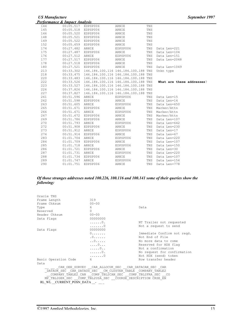|     | <b>Performance &amp; Impact Analysis</b> |                                               |                                     |     |                           |
|-----|------------------------------------------|-----------------------------------------------|-------------------------------------|-----|---------------------------|
| 144 | 00:05.517                                | EDPSP006                                      | ARNIE                               | TNS |                           |
| 145 | 00:05.518                                | EDPSP006                                      | ARNIE                               | TNS |                           |
| 146 | 00:05.520 EDPSP006                       |                                               | ARNIE                               | TNS |                           |
| 148 | 00:05.521                                | EDPSP006                                      | ARNIE                               | TNS |                           |
| 149 | 00:05.522                                | EDPSP006                                      | ARNIE                               | TNS |                           |
| 152 | 00:05.659                                | EDPSP006                                      | ARNIE                               | TNS |                           |
| 174 | 00:27.482                                | ARNIE                                         | EDPSP006                            | TNS | Data Len=221              |
| 175 | 00:27.487                                | EDPSP006                                      | ARNIE                               | TNS | Data Len=104              |
| 176 | 00:27.512                                | ARNIE                                         | EDPSP006                            | TNS | Data Len=151              |
| 177 | 00:27.517                                | EDPSP006                                      | ARNIE                               | TNS | Data Len=2048             |
| 178 | 00:27.518                                | EDPSP006                                      | ARNIE                               | TNS |                           |
| 180 | 00:27.521                                | EDPSP006                                      | ARNIE                               | TNS | Data Len=1049             |
| 213 |                                          | 00:33.302 146.184.100.116 146.184.100.188 TNS |                                     |     | Unkn type                 |
| 218 |                                          | 00:33.475 146.184.100.116 146.184.100.188 TNS |                                     |     |                           |
| 220 | 00:33.483                                | 146.184.100.116 146.184.100.188 TNS           |                                     |     |                           |
| 222 | 00:33.526                                |                                               | 146.184.100.116 146.184.100.188 TNS |     | What are these addresses? |
| 223 | 00:33.527                                |                                               | 146.184.100.116 146.184.100.188 TNS |     |                           |
| 226 | 00:37.826                                |                                               | 146.184.100.116 146.184.100.188 TNS |     |                           |
| 227 | 00:37.827                                |                                               | 146.184.100.116 146.184.100.188 TNS |     |                           |
| 261 | 00:51.596                                | ARNIE                                         | EDPSP006                            | TNS | Data Len=15               |
| 262 | 00:51.598                                | EDPSP006                                      | ARNIE                               | TNS | Data Len=14               |
| 263 | 00:51.605                                | ARNIE                                         | EDPSP006                            | TNS | Data Len=650              |
| 265 | 00:51.671                                | EDPSP006                                      | ARNIE                               | TNS | Marker/Attn               |
| 266 | 00:51.671                                | ARNIE                                         | EDPSP006                            | TNS | Marker/Attn               |
| 267 | 00:51.672                                | EDPSP006                                      | ARNIE                               | TNS | Marker/Attn               |
| 269 | 00:51.786                                | EDPSP006                                      | ARNIE                               | TNS | Data Len=107              |
| 270 | 00:51.793                                | ARNIE                                         | EDPSP006                            | TNS | Data Len=642              |
| 272 | 00:51.908                                | EDPSP006                                      | ARNIE                               | TNS | Data Len=230              |
| 273 | 00:51.912                                | ARNIE                                         | EDPSP006                            | TNS | Data Len=17               |
| 274 | 00:51.914                                | EDPSP006                                      | ARNIE                               | TNS | Data Len=67               |
| 283 | 01:01.704                                | ARNIE                                         | EDPSP006                            | TNS | Data Len=220              |
| 284 | 01:01.709                                | EDPSP006                                      | ARNIE                               | TNS | Data Len=107              |
| 285 | 01:01.718                                | ARNIE                                         | EDPSP006                            | TNS | Data Len=150              |
| 286 | 01:01.721                                | EDPSP006                                      | ARNIE                               | TNS | Data Len=30               |
| 287 | 01:01.731                                | ARNIE                                         | EDPSP006                            | TNS | Data Len=220              |
| 288 | 01:01.734                                | EDPSP006                                      | ARNIE                               | TNS | Data Len=107              |
| 289 | 01:01.747                                | ARNIE                                         | EDPSP006                            | TNS | Data Len=154              |
| 290 | 01:01.751                                | EDPSP006                                      | ARNIE                               | TNS | Data Len=778              |

#### *Of those stranges addresses noted 100.226, 100.116 and 100.141 some of their queries show the following:*

| Oracle TNS                |                                                            |                             |
|---------------------------|------------------------------------------------------------|-----------------------------|
| Frame Length              | 319                                                        |                             |
| Frame Chksum              | $00 - 00$                                                  |                             |
| Type                      | 6                                                          | Data                        |
| Reserved                  | $\Omega$                                                   |                             |
| Header Chksum             | $00 - 00$                                                  |                             |
| Data Flags                | 00000000                                                   |                             |
|                           | . 0 .                                                      | NT Trailer not requested    |
|                           | . 0                                                        | Not a request to send       |
| Data Flags                | 00000000                                                   |                             |
|                           | $0 \ldots \ldots$                                          | Immediate Confirm not regd. |
|                           |                                                            | Not End of File             |
|                           | . . 0                                                      | No more data to come        |
|                           | . 0                                                        | Reserved for HDX flag       |
|                           | . 0                                                        | Not a confirmation          |
|                           | $\ldots \ldots 0$ .                                        | No request for confirmation |
|                           | . 0                                                        | Not HDX (send) token        |
| Basic Operation Code      | 6 - 10                                                     | Row transfer header         |
| Data                      |                                                            |                             |
|                           | CAN OEE SURVEY CAR ALLOCUK SEC CAR DATACAN SEC CAR         |                             |
|                           | DATAUK SEC CAR DATAUS SEC CM CLUSTER TABLE COMPANY TABLE2  |                             |
|                           | COMPANY TABLE2 CAN  COMP TBL2CAN SEC  COMP TBL2FRA SEC  CO |                             |
|                           | MP TBL2GER SEC COMP TBL2USA SEC COURSE DESCRIPTION CRSE EN |                             |
| RL WL CURRENT POSN DATA - |                                                            |                             |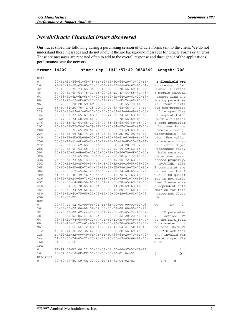## *Novell/Oracle Financial issues discovered*

Our traces shoed the following during a purchasing session of Oracle Forms sent to the client. We do not understand these messages and do not know if the are background messages for Oracle Forms or an error. These are messages are repeated often to add to the overall response and throughput of the applications performance over the network.

| Frame:     | 14409                                     | <b>Time:</b> |  | Sep 11011:57:42.0830349                                                           | <b>Length:</b><br>708                 |
|------------|-------------------------------------------|--------------|--|-----------------------------------------------------------------------------------|---------------------------------------|
|            |                                           |              |  |                                                                                   |                                       |
| Data       |                                           |              |  |                                                                                   |                                       |
| 0          |                                           |              |  | 20-61-20-66-6C-65-78-66-69-65-6C-64-20-70-72-65-                                  | a flexfield pre                       |
| 16         |                                           |              |  | 2D-70-72-6F-63-65-73-73-6F-72-20-66-69-6C-65-0A-                                  | -processor file                       |
| 32         |                                           |              |  | $0A-43-61-75-73-65-3A-09-46-6C-65-78-66-69-65-6C-$                                | Cause: Flexfiel                       |
| 48         |                                           |              |  | 64-20-6D-6F-64-75-6C-65-20-26-4D-4F-44-55-4C-45-                                  | d module &MODULE                      |
| 64         |                                           |              |  | 20-63-61-6E-6E-6F-74-20-66-69-6E-64-20-61-20-63-                                  | cannot find a c                       |
| 80         |                                           |              |  | $6C-6F-73-69-6E-67-20-70-61-72-65-6E-74-68-65-73-$                                | losing parenthes                      |
| 96         |                                           |              |  | 69-73-2E-20-20-59-6F-75-72-20-66-6C-65-78-66-69-                                  | Your flexfi<br>is.                    |
| 112        |                                           |              |  | 65-6C-64-20-70-72-65-2D-70-72-6F-63-65-73-73-6F-                                  | eld pre-processo                      |
| 128        |                                           |              |  | 72-20-66-69-6C-65-20-73-70-65-63-69-66-69-65-73-                                  | r file specifies                      |
| 144        |                                           |              |  | 20-61-20-73-65-67-6D-65-6E-74-20-74-6F-6B-65-6E-                                  | a segment token                       |
| 160        |                                           |              |  | 20-77-69-74-68-20-61-20-66-6C-65-78-66-69-65-6C-                                  | with a flexfiel                       |
| 176        |                                           |              |  | $64 - 20 - 63 - 65 - 64 - 65 - 20 - 73 - 70 - 65 - 63 - 69 - 66 - 69 - 65 - 72 -$ | d code specifier                      |
| 192        |                                           |              |  | 2C-20-62-75-74-20-79-6F-75-20-64-6F-20-6E-6F-74-                                  | , but you do not                      |
| 208        |                                           |              |  | 20-68-61-76-65-20-61-20-63-6C-6F-73-69-6E-67-20-                                  | have a closing                        |
| 224        |                                           |              |  | 70-61-72-65-6E-74-68-65-73-69-73-2E-0A-0A-41-63-                                  | parenthesis.<br>Aс                    |
| 240        |                                           |              |  | 74-69-6F-6E-3A-09-55-73-65-20-76-61-6C-69-64-20-                                  | tion: Use valid                       |
| 256        |                                           |              |  | 70-61-72-61-6D-65-74-65-72-73-20-69-6E-20-79-6F-                                  | parameters in yo                      |
| 272        |                                           |              |  | 75-72-20-66-6C-65-78-66-69-65-6C-64-20-70-72-65-                                  | ur flexfield pre                      |
| 288        |                                           |              |  | 2D-70-72-6F-63-65-73-73-6F-72-20-66-69-6C-65-2E-                                  | -processor file.                      |
| 304        |                                           |              |  | 20-20-4D-61-6B-65-20-73-75-72-65-20-79-6F-75-20-                                  | Make sure you                         |
| 320        |                                           |              |  | 63-6C-6F-73-65-20-79-6F-75-72-20-70-61-72-65-6E-                                  | close your paren                      |
| 336        |                                           |              |  | 74-68-65-73-65-73-20-70-72-6F-70-65-72-6C-79-2E-                                  | theses properly.                      |
| 352        |                                           |              |  | 0A-00-26-52-4F-55-54-49-4E-45-3A-20-26-54-59-50-                                  | &ROUTINE: &TYP                        |
| 368        |                                           |              |  | 45-20-63-6F-6E-73-74-72-61-69-6E-74-20-73-70-65-                                  | E constraint spe                      |
| 384        |                                           |              |  | $63 - 69 - 66 - 69 - 65 - 64 - 20 - 66 - 6F - 72 - 20 - 74 - 68 - 65 - 20 - 26 -$ | cified for the &                      |
| 400        |                                           |              |  | 51-55-41-4C-49-46-49-45-52-20-71-75-61-6C-69-66-                                  | QUALIFIER qualif                      |
| 416        |                                           |              |  | 69-65-72-20-69-73-20-6E-6F-74-20-73-61-74-69-73-                                  | ier is not satis                      |
| 432        |                                           |              |  | 66-69-65-64-00-50-6C-65-61-73-65-20-65-6E-74-65-                                  | fied Please ente                      |
| 448        |                                           |              |  | 72-20-64-65-70-65-6E-64-65-6E-74-20-69-6E-66-6F-                                  | r dependent info                      |
| 464        |                                           |              |  | 72-6D-61-74-69-6F-6E-20-66-6F-72-20-74-68-69-73-                                  | rmation for this                      |
|            |                                           |              |  |                                                                                   |                                       |
| 480        |                                           |              |  | 20-76-61-6C-75-65-20-73-65-74-00-43-6C-61-73-73                                   | value set Class                       |
| 496        | $8B-46-6D-BF$                             |              |  |                                                                                   | Fm                                    |
| <b>NCP</b> |                                           |              |  |                                                                                   |                                       |
| 0          |                                           |              |  | 77-77 10 02 01-00-96-01 66-3E-00-00 00-00-30-D3                                   | f<br>$\circ$<br>WW                    |
| 16         |                                           |              |  | $00 - 00 - 00 - 000006 - 0806 - 0900000 - 00 - 08 - 0800000 - 05 - 98000$         |                                       |
| 32         |                                           |              |  | $02 - 70$ $00 - 00$ $4C - 44 - 20 - 70 - 61 - 72 - 61 - 6D - 65 - 74 - 65 - 72 -$ | LD parameter<br>p                     |
| 48         |                                           |              |  | 2E-20-20-0A-0A-41-63-74-69-6F-6E-3A-20-20-50-61-                                  | Action:<br>Pa<br>$\ddot{\phantom{0}}$ |
| 64         |                                           |              |  | 73-73-20-74-68-65-20-44-41-54-41-5F-46-49-45-4C-                                  | ss the DATA FIEL                      |
| 80         |                                           |              |  | 44-20-70-61-72-61-6D-65-74-65-72-20-69-6E-20-74-                                  | D parameter in t                      |
| 96         |                                           |              |  | $68 - 65 - 20 - 66 - 6F - 72 - 6D - 3A - 20 - 44 - 41 - 54 - 41 - 5F - 46 - 49 -$ | he form: DATA FI                      |
| 112        |                                           |              |  | 45-4C-44-3D-22-3A-62-6C-6F-63-6B-2E-66-69-65-6C-                                  | ELD=":block.fiel                      |
| 128        |                                           |              |  | $64 - 22 - 2E - 3A - 00 - 49 - 6E - 76 - 61 - 6C - 69 - 64 - 20 - 70 - 61 - 72 -$ | d".: Invalid par                      |
| 144        |                                           |              |  | $61 - 6D - 65 - 74 - 65 - 72 - 73 - 20 - 73 - 70 - 65 - 63 - 69 - 66 - 69 - 65 -$ | ameters specifie                      |
| 160        | $64 - 20 - 69 - 6E$                       |              |  |                                                                                   | d in                                  |
| IPX        |                                           |              |  |                                                                                   |                                       |
| 0          |                                           |              |  | FF-FF 02-B2 00 11 00-00-01-01 00-60-97-5C-C9-6A                                   | Λj                                    |
| 16         | 40-0A 00-10-0E-EE 00-00-00-00-00-01 04-51 |              |  |                                                                                   | G)<br>O                               |
| Ethernet   |                                           |              |  |                                                                                   |                                       |
| $\Omega$   | 00-60-97-5C-C9-6A 00-00-1B-16-71-C4 02-B2 |              |  |                                                                                   | ヾ<br>q                                |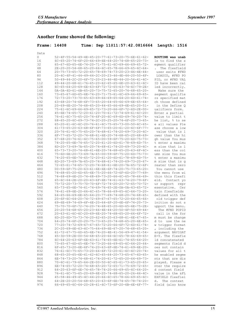## Another frame showed the following:

| Frame: $14408$ |                                                                                                                                         | <b>Time:</b> |  |  | Sep 11011:57:42.0816664 | Length: 1516                         |  |
|----------------|-----------------------------------------------------------------------------------------------------------------------------------------|--------------|--|--|-------------------------|--------------------------------------|--|
|                |                                                                                                                                         |              |  |  |                         |                                      |  |
| Data           |                                                                                                                                         |              |  |  |                         |                                      |  |
| 0              | 52-4F-55-54-49-4E-45-20-77-61-73-20-75-6E-61-62-                                                                                        |              |  |  |                         | ROUTINE was unab                     |  |
| 16             | $6C-65-20-74-6F-20-66-69-6E-64-20-74-68-65-20-73-$                                                                                      |              |  |  |                         | le to find the s                     |  |
| 32             | $65 - 67 - 6D - 65 - 6E - 74 - 20 - 71 - 75 - 61 - 6C - 69 - 66 - 69 - 65 - 72 -$                                                       |              |  |  |                         | egment qualifier                     |  |
| 48             | 2E-20-20-54-68-65-20-66-6C-65-78-66-69-65-6C-64-                                                                                        |              |  |  |                         | The flexfield                        |  |
| 64             | 20-75-73-65-72-20-65-78-69-74-73-20-23-46-4E-44-                                                                                        |              |  |  |                         | user exits #FND                      |  |
| 80             | 20-4C-4F-41-44-49-44-2C-20-23-46-4E-44-20-50-4F-                                                                                        |              |  |  |                         | LOADID, #FND PO                      |  |
| 96             | 50-49-44-2C-20-6F-72-20-23-46-4E-44-20-56-41-4C-                                                                                        |              |  |  |                         | PID, or #FND VAL                     |  |
| 112            | 49-44-20-68-61-76-65-20-62-65-65-6E-20-63-61-6C-                                                                                        |              |  |  |                         | ID have been cal                     |  |
| 128            | $6C-65-64-20-69-6E-63-6F-72-72-65-63-74-6C-79-2E-$                                                                                      |              |  |  |                         | led incorrectly.                     |  |
| 144            | $0A-0A-4D-61-6B-65-20-73-75-72-65-20-74-68-65-20-$                                                                                      |              |  |  |                         | Make sure the                        |  |
| 160            | 73-65-67-6D-65-6E-74-20-71-75-61-6C-69-66-69-65-                                                                                        |              |  |  |                         | segment qualifie                     |  |
| 176            | 72-73-20-73-70-65-63-69-66-69-65-64-20-6D-61-74-                                                                                        |              |  |  |                         | rs specified mat                     |  |
| 192            | $63 - 68 - 20 - 74 - 68 - 6F - 73 - 65 - 20 - 64 - 65 - 66 - 69 - 6E - 65 - 64 -$                                                       |              |  |  |                         | ch those defined                     |  |
| 208            | 20-69-6E-20-74-68-65-20-44-65-66-69-6E-65-20-51-                                                                                        |              |  |  |                         | in the Define Q                      |  |
| 224            | 75-61-6C-69-66-69-65-72-73-20-66-6F-72-6D-2E-00-                                                                                        |              |  |  |                         | ualifiers form.                      |  |
| 240            | 45-6E-74-65-72-20-61-20-70-61-72-74-69-61-6C-20-                                                                                        |              |  |  |                         | Enter a partial                      |  |
| 256            | 76-61-6C-75-65-20-74-6F-20-6C-69-6D-69-74-20-74-                                                                                        |              |  |  |                         | value to limit t                     |  |
| 272<br>288     | $68 - 65 - 20 - 6C - 69 - 73 - 74 - 2C - 20 - 25 - 20 - 74 - 6F - 20 - 73 - 65 -$                                                       |              |  |  |                         | he list, % to se                     |  |
| 304            | $65 - 20 - 61 - 6C - 6C - 20 - 76 - 61 - 6C - 75 - 65 - 73 - 00 - 50 - 6C - 65 -$<br>$61-73-65-20-63-68-6F-6F-73-65-20-61-20-6C-6F-77-$ |              |  |  |                         | e all values Ple<br>ase choose a low |  |
|                | $20 - 76 - 61 - 6C - 75 - 65 - 20 - 74 - 68 - 61 - 74 - 20 - 69 - 73 - 20 - 6C -$                                                       |              |  |  |                         | value that is 1                      |  |
| 320<br>336     | 6F-77-65-72-20-74-68-61-6E-20-74-68-65-20-68-69-                                                                                        |              |  |  |                         | ower than the hi                     |  |
| 352            | $67 - 68 - 20 - 76 - 61 - 6C - 75 - 65 - 00 - 59 - 6F - 75 - 20 - 6D - 75 - 73 -$                                                       |              |  |  |                         | gh value You mus                     |  |
| 368            | 74-20-65-6E-74-65-72-20-61-20-6D-61-78-69-6D-75-                                                                                        |              |  |  |                         | t enter a maximu                     |  |
| 384            | $6D-20-73-69-7A-65-20-74-68-61-74-20-69-73-20-6C-$                                                                                      |              |  |  |                         | m size that is l                     |  |
| 400            | 65-73-73-20-74-68-61-6E-20-74-68-65-20-63-6F-6C-                                                                                        |              |  |  |                         | ess than the col                     |  |
| 416            | 75-6D-6E-20-73-69-7A-65-00-59-6F-75-20-6D-75-73-                                                                                        |              |  |  |                         | umn size You mus                     |  |
| 432            | 74-20-65-6E-74-65-72-20-61-20-6D-61-78-69-6D-75-                                                                                        |              |  |  |                         | t enter a maximu                     |  |
| 448            | $6D-20-73-69-7A-65-20-74-68-61-74-20-69-73-20-67-$                                                                                      |              |  |  |                         | m size that is q                     |  |
| 464            | 72-65-61-74-65-72-20-74-68-61-6E-20-7A-65-72-6F-                                                                                        |              |  |  |                         | reater than zero                     |  |
| 480            | $00-59-6F-75-20-63-61-6E-6E-6F-74-20-75-73-65-20-$                                                                                      |              |  |  |                         | You cannot use                       |  |
| 496            | 74-68-65-20-6D-65-6E-75-20-66-72-6F-6D-20-77-69-                                                                                        |              |  |  |                         | the menu from wi                     |  |
| 512            | 74-68-69-6E-20-74-68-69-73-20-66-6C-65-78-66-69-                                                                                        |              |  |  |                         | thin this flexfi                     |  |
| 528            | 65-6C-64-2E-20-20-43-6F-6E-74-61-63-74-20-79-6F-                                                                                        |              |  |  |                         | eld.<br>Contact yo                   |  |
| 544            | 75-72-20-73-75-70-70-6F-72-74-20-20-72-65-70-72-                                                                                        |              |  |  |                         | ur support repr                      |  |
| 560            | 65-73-65-6E-74-61-74-69-76-65-2E-0A-0A-43-65-72-                                                                                        |              |  |  |                         | esentative. Cer                      |  |
| 576            | 74-61-69-6E-20-66-6C-65-78-66-69-65-6C-64-73-20-                                                                                        |              |  |  |                         | tain flexfields                      |  |
| 592            | $64 - 65 - 66 - 69 - 6E - 65 - 64 - 20 - 77 - 69 - 74 - 68 - 20 - 74 - 68 - 65 -$                                                       |              |  |  |                         | defined with the                     |  |
| 608            | 20-6F-6C-64-20-74-72-69-67-67-65-72-20-64-65-66-                                                                                        |              |  |  |                         | old trigger def                      |  |
| 624            | 69-6E-69-74-69-6F-6E-20-64-6F-20-6E-6F-74-20-73-                                                                                        |              |  |  |                         | inition do not s                     |  |
| 640            | 75-70-70-6F-72-74-20-74-68-65-20-6D-65-6E-75-2E-                                                                                        |              |  |  |                         | upport the menu.                     |  |
| 656            | 20-20-54-68-65-20-23-46-4E-44-20-50-4F-50-49-44-                                                                                        |              |  |  |                         | The #FND POPID                       |  |
| 672            | 20-63-61-6C-6C-20-69-6E-20-74-68-65-20-66-6F-72-                                                                                        |              |  |  |                         | call in the for                      |  |
| 688            | 6D-20-6D-75-73-74-20-62-65-20-63-68-61-6E-67-65-                                                                                        |              |  |  |                         | m must be change                     |  |
| 704            | 64-20-74-6F-20-20-75-73-65-20-74-68-65-20-6E-65-                                                                                        |              |  |  |                         | d to use the ne                      |  |
| 720            | 77-20-74-72-69-67-67-65-72-20-66-6F-72-6D-61-74-                                                                                        |              |  |  |                         | w trigger format                     |  |
| 736            | 2C-20-69-6E-63-6C-75-64-69-6E-67-20-74-68-65-20-                                                                                        |              |  |  |                         | including the                        |  |
| 752            | $61 - 72 - 67 - 75 - 6D - 65 - 6E - 74 - 20 - 4E - 41 - 56 - 49 - 47 - 41 - 54 -$                                                       |              |  |  |                         | argument NAVIGAT                     |  |
| 768            | 45-3D-59-2E-00-54-68-65-20-66-6C-65-78-66-69-65-                                                                                        |              |  |  |                         | E=Y. The flexfie                     |  |
| 784            | $6C-64-20-63-6F-6E-63-61-74-65-6E-61-74-65-64-20-$                                                                                      |              |  |  |                         | ld concatenated                      |  |
| 800            | 73-65-67-6D-65-6E-74-73-20-66-69-65-6C-64-20-64-                                                                                        |              |  |  |                         | segments field d                     |  |
| 816            | 6F-65-73-20-6E-6F-74-20-63-6F-6E-74-61-69-6E-20-                                                                                        |              |  |  |                         | oes not contain                      |  |
| 832            | 76-61-6C-75-65-73-20-66-6F-72-20-61-6C-6C-20-74-                                                                                        |              |  |  |                         | values for all t                     |  |
| 848            | 68-65-20-65-6E-61-62-6C-65-64-20-73-65-67-6D-65-                                                                                        |              |  |  |                         | he enabled segme                     |  |
| 864            | 6E-74-73-20-74-68-61-74-20-61-72-65-20-64-69-73-                                                                                        |              |  |  |                         | nts that are dis                     |  |
| 880            | 70-6C-61-79-65-64-2E-00-50-6C-65-61-73-65-20-65-                                                                                        |              |  |  |                         | played. Please e                     |  |
| 896            | 6E-74-65-72-20-74-68-65-20-72-65-71-75-69-72-65-                                                                                        |              |  |  |                         | nter the require                     |  |
| 912            | $64 - 20 - 63 - 6F - 6E - 74 - 65 - 78 - 74 - 20 - 66 - 69 - 65 - 6C - 64 - 20 -$<br>76-61-6C-75-65-20-69-6E-20-74-68-65-20-26-46-4C-   |              |  |  |                         | d context field<br>value in the &FL  |  |
| 928<br>944     | $45 - 58 - 46 - 49 - 45 - 4C - 44 - 20 - 66 - 6C - 65 - 78 - 66 - 69 - 65 - 6C -$                                                       |              |  |  |                         | EXFIELD flexfiel                     |  |
| 960            | 64-2E-20-20-54-68-65-20-63-6F-6E-74-65-78-74-20-                                                                                        |              |  |  |                         | The context<br>d.                    |  |
| 976            | 66-69-65-6C-64-20-28-61-6C-73-6F-20-6B-6E-6F-77-                                                                                        |              |  |  |                         | field (also know                     |  |
|                |                                                                                                                                         |              |  |  |                         |                                      |  |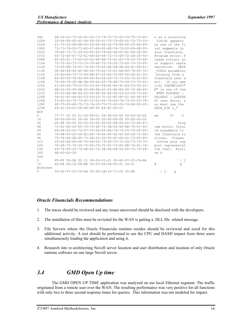| 992        | 6E-20-61-73-20-61-20-73-74-72-75-63-74-75-72-65-                                                                                                                                                                                                                    | n as a structure    |
|------------|---------------------------------------------------------------------------------------------------------------------------------------------------------------------------------------------------------------------------------------------------------------------|---------------------|
| 1008       | $20 - 66 - 69 - 65 - 6C - 64 - 29 - 20 - 61 - 70 - 70 - 65 - 61 - 72 - 73 - 20 -$                                                                                                                                                                                   | field) appears      |
| 1024       | $61 - 73 - 20 - 6F - 6E - 65 - 20 - 6F - 66 - 20 - 74 - 68 - 65 - 20 - 66 - 69 -$                                                                                                                                                                                   | as one of the fi    |
| 1040       | 72-73-74-20-73-65-67-6D-65-6E-74-73-20-69-6E-20-                                                                                                                                                                                                                    | rst segments in     |
| 1056       | 79-6F-75-72-20-66-6C-65-78-66-69-65-6C-64-2E-00-                                                                                                                                                                                                                    | your flexfield.     |
| 1072       | 50-72-6F-67-72-61-6D-20-65-72-72-6F-72-3A-20-50-                                                                                                                                                                                                                    | Program error: P    |
| 1088       | $6C-65-61-73-65-20-63-6F-6E-74-61-63-74-20-79-6F-$                                                                                                                                                                                                                  | lease contact yo    |
| 1104       | 75-72-20-73-75-70-70-6F-72-74-20-72-65-70-72-65-                                                                                                                                                                                                                    | ur support repre    |
| 1120       | 73-65-6E-74-61-74-69-76-65-2E-0A-0A-44-41-54-41-                                                                                                                                                                                                                    | sentative.<br>DATA  |
| 1136       | $5F-46-49-45-4C-44-20-70-61-72-61-6D-65-74-65-72-$                                                                                                                                                                                                                  | FIELD parameter     |
| 1152       | 20-6D-69-73-73-69-6E-67-20-66-72-6F-6D-20-61-20-                                                                                                                                                                                                                    | missing from a      |
| 1168       | $66 - 6C - 65 - 78 - 66 - 69 - 65 - 6C - 64 - 20 - 75 - 73 - 65 - 72 - 20 - 65 -$                                                                                                                                                                                   | flexfield user e    |
| 1184       | 78-69-74-2E-0A-0A-49-66-20-79-6F-75-20-73-70-65-                                                                                                                                                                                                                    | xit. If you spe     |
| 1200       | $63 - 69 - 66 - 79 - 20 - 55 - 53 - 45 - 44 - 42 - 46 - 4C - 44 - 53 - 3D - 22 -$                                                                                                                                                                                   | cify USEDBFLDS="    |
| 1216       | $4E-22-20-69-6E-20-6F-6E-65-20-6F-66-20-74-68-65-$                                                                                                                                                                                                                  | N" in one of the    |
| 1232       | $20 - 23 - 46 - 4E - 44 - 20 - 50 - 4F - 50 - 44 - 45 - 53 - 43 - 20 - 7C - 20 -$                                                                                                                                                                                   | #FND POPDESC        |
| 1248       | $56 - 41 - 4C - 44 - 45 - 53 - 43 - 20 - 7C - 20 - 4C - 4F - 41 - 44 - 44 - 45 -$                                                                                                                                                                                   | VALDESC   LOADDE    |
| 1264       | 53-43-20-75-73-65-72-20-65-78-69-74-73-2C-20-79-                                                                                                                                                                                                                    | SC user exits, y    |
| 1280       | $6F-75-20-6D-75-73-74-20-75-73-65-20-74-68-65-20-$                                                                                                                                                                                                                  | ou must use the     |
| 1296       | 44-41-54-41-5F-46-49-45 E4-4C-5F-22                                                                                                                                                                                                                                 | DATA FIE L "        |
| <b>NCP</b> |                                                                                                                                                                                                                                                                     |                     |
| $\Omega$   | 77-77 00 02 01-00-96-01 66-3E-00-00 00-00-30-D2                                                                                                                                                                                                                     | $\Omega$<br>f<br>WW |
| 16         | $00 - 00 - 00 - 00000 - 0800 - 00000 - 0000 - 0000 - 0000 - 0000 - 0000 - 0000 - 0000 - 0000 - 0000 - 0000 - 0000 - 0000 - 0000 - 0000 - 0000 - 0000 - 0000 - 0000 - 0000 - 0000 - 0000 - 0000 - 0000 - 0000 - 0000 - 0000 - 0000 - 0000 - 0000 - 0000 - 0000 - 00$ |                     |
| 32         | 05-98 00-00 00-00-00-00-00-00-08-00-50-72-6F-67-                                                                                                                                                                                                                    | Prog                |
| 48         | 72-61-6D-20-65-72-72-6F-72-3A-20-49-6E-76-61-6C-                                                                                                                                                                                                                    | ram error: Inval    |
| 64         | $69 - 64 - 20 - 61 - 72 - 67 - 75 - 6D - 65 - 6E - 74 - 73 - 20 - 74 - 6F - 20 -$                                                                                                                                                                                   | id arguments to     |
| 80         | 74-68-65-20-66-6C-65-78-66-69-65-6C-64-20-72-6F-                                                                                                                                                                                                                    | the flexfield ro    |
| 96         | 75-74-69-6E-65-73-2E-20-20-50-6C-65-61-73-65-20-                                                                                                                                                                                                                    | utines. Please      |
| 112        | 20-69-6E-66-6F-72-6D-20-79-6F-75-72-20-73-75-70-                                                                                                                                                                                                                    | inform your sup     |
| 128        | 70-6F-72-74-20-72-65-70-72-65-73-65-6E-74-61-74-                                                                                                                                                                                                                    | port representat    |
| 144        | $69 - 76 - 65 - 20 - 74 - 68 - 61 - 74 - 3A - 0A - 0A - 52 - 6F - 75 - 74 - 69 -$                                                                                                                                                                                   | ive that: Routi     |
| 160        | $6E - 65 - 20 - 26$                                                                                                                                                                                                                                                 | ne &                |
| <b>TPX</b> |                                                                                                                                                                                                                                                                     |                     |
| $\circ$    | FF-FF 05-DA 00 11 00-00-01-01 00-60-97-5C-C9-6A                                                                                                                                                                                                                     | ヽ゠                  |
| 16         | 40-0A 00-10-0E-EE 00-00-00-00-00-01 04-51                                                                                                                                                                                                                           | G.<br>$\mathsf{Q}$  |
| Ethernet   |                                                                                                                                                                                                                                                                     |                     |
| $\circ$    | 00-60-97-5C-C9-6A 00-00-1B-16-71-C4 05-DA                                                                                                                                                                                                                           | $\lambda j$<br>q    |

#### *Oracle Financials Recommendations*

- 1. The traces should be reviewed and any issues uncovered should be disclosed with the developers.
- 2. The installation of files must be revisited for the WAN is getting a .DLL file related message.
- 3. File Servers where the Oracle Financials runtime resides should be reviewed and sized for this additional activity. A test should be performed to see the CPU and DASD impact from three users simultaneously loading the application and using it.
- 4. Research into re-architecting Novell server location and user distribution and location of only Oracle runtime software on one large Novell server.

## *3.4 GMD Open Up time*

The GMD OPEN UP TIME application was analyzed on our local Ethernet segment. The traffic originated from a remote user over the WAN. The resulting performance was very positive for all functions with only two to three second response times for queries. This information was not modeled for impact.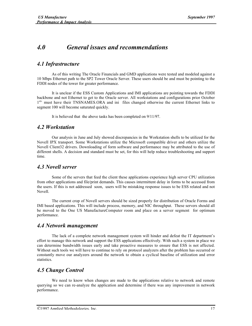## *4.0 General issues and recommendations*

#### *4.1 Infrastructure*

As of this writing The Oracle Financials and GMD applications were tested and modeled against a 10 Mbps Ethernet path to the SP2 Tower Oracle Server. These users should be and must be pointing to the FDDI nodes of the tower for greater performance.

It is unclear if the ESS Custom Applications and IMI applications are pointing towards the FDDI backbone and not Ethernet to get to the Oracle server. All workstations and configurations prior October 1<sup>st,</sup> must have their TNSNAMES.ORA and ini files changed otherwise the current Ethernet links to segment 100 will become saturated quickly.

It is believed that the above tasks has been completed on 9/11/97.

#### *4.2 Workstation*

Our analysis in June and July showed discrepancies in the Workstation shells to be utilized for the Novell IPX transport. Some Workstations utilize the Microsoft compatible driver and others utilize the Novell Client32 drivers. Downloading of form software and performance may be attributed to the use of different shells. A decision and standard must be set, for this will help reduce troubleshooting and support time.

#### *4.3 Novell server*

Some of the servers that feed the client these applications experience high server CPU utilization from other applications and file/print demands. This causes intermittent delay in forms to be accessed from the users. If this is not addressed soon, users will be mistaking response issues to be ESS related and not Novell.

The current crop of Novell servers should be sized properly for distribution of Oracle Forms and IMI based applications. This will include process, memory, and NIC throughput. These servers should all be moved to the One US ManufactureComputer room and place on a server segment for optimum performance.

#### *4.4 Network management*

The lack of a complete network management system will hinder and defeat the IT department's effort to manage this network and support the ESS applications effectively. With such a system in place we can determine bandwidth issues early and take proactive measures to ensure that ESS is not affected. Without such tools we will have to continue to rely on protocol analyzers after the problem has occurred or constantly move our analyzers around the network to obtain a cyclical baseline of utilization and error statistics.

## *4.5 Change Control*

We need to know when changes are made to the applications relative to network and remote querying so we can re-analyze the application and determine if there was any improvement in network performance.